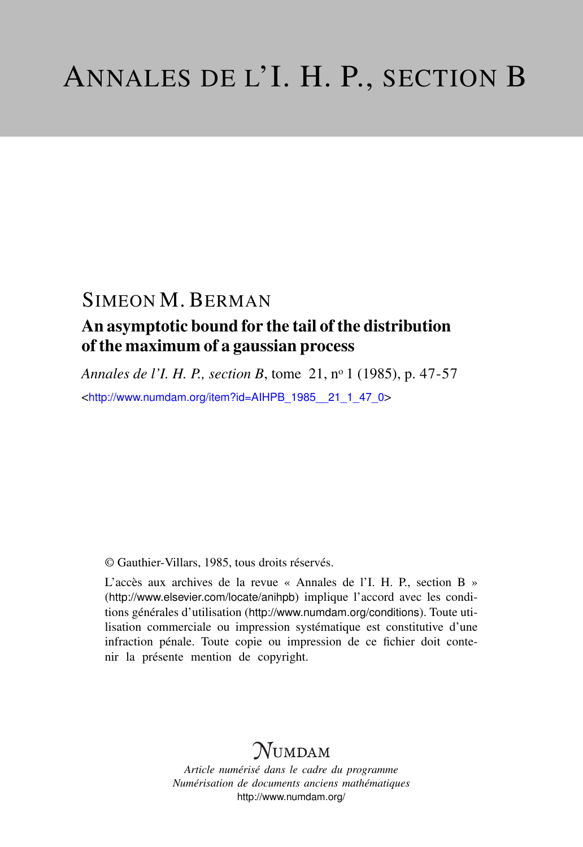## SIMEON M. BERMAN

### An asymptotic bound for the tail of the distribution of the maximum of a gaussian process

*Annales de l'I. H. P., section B*, tome 21, n<sup>o</sup> 1 (1985), p. 47-57 <[http://www.numdam.org/item?id=AIHPB\\_1985\\_\\_21\\_1\\_47\\_0](http://www.numdam.org/item?id=AIHPB_1985__21_1_47_0)>

© Gauthier-Villars, 1985, tous droits réservés.

L'accès aux archives de la revue « Annales de l'I. H. P., section B » (<http://www.elsevier.com/locate/anihpb>) implique l'accord avec les conditions générales d'utilisation (<http://www.numdam.org/conditions>). Toute utilisation commerciale ou impression systématique est constitutive d'une infraction pénale. Toute copie ou impression de ce fichier doit contenir la présente mention de copyright.

# $N$ UMDAM

*Article numérisé dans le cadre du programme Numérisation de documents anciens mathématiques* <http://www.numdam.org/>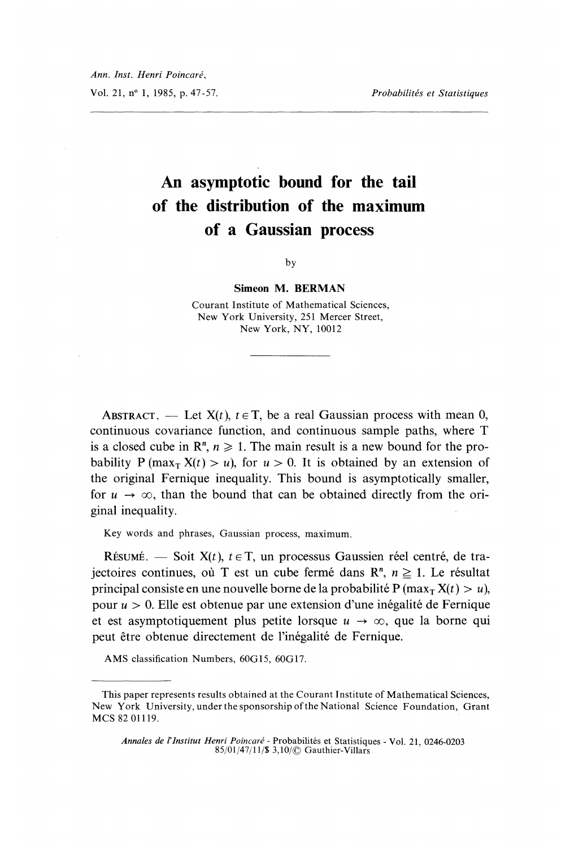# An asymptotic bound for the tail of the distribution of the maximum of a Gaussian process

by

#### Simeon M. BERMAN

Courant Institute of Mathematical Sciences, New York University, 251 Mercer Street, New York, NY, 10012

ABSTRACT. — Let  $X(t)$ ,  $t \in T$ , be a real Gaussian process with mean 0, continuous covariance function, and continuous sample paths, where T is a closed cube in  $\mathbb{R}^n$ ,  $n \geq 1$ . The main result is a new bound for the probability P (max<sub>T</sub> X(t) > u), for  $u > 0$ . It is obtained by an extension of the original Fernique inequality. This bound is asymptotically smaller, for  $u \rightarrow \infty$ , than the bound that can be obtained directly from the original inequality.

Key words and phrases, Gaussian process, maximum.

RÉSUMÉ. - Soit  $X(t)$ ,  $t \in T$ , un processus Gaussien réel centré, de trajectoires continues, où T est un cube fermé dans  $\mathbb{R}^n$ ,  $n \geq 1$ . Le résultat principal consiste en une nouvelle borne de la probabilité P (max<sub>T</sub>  $X(t) > u$ ), pour  $u > 0$ . Elle est obtenue par une extension d'une inégalité de Fernique et est asymptotiquement plus petite lorsque  $u \rightarrow \infty$ , que la borne qui peut être obtenue directement de l'inégalité de Fernique.

AMS classification Numbers, 60G15, 60G17.

This paper represents results obtained at the Courant Institute of Mathematical Sciences, New York University, under the sponsorship of the National Science Foundation, Grant MCS 82 01119.

Annales de l'Institut Henri Poincaré - Probabilités et Statistiques - Vol. 21, 0246-0203 85/01/47/11/S Gauthier-Villars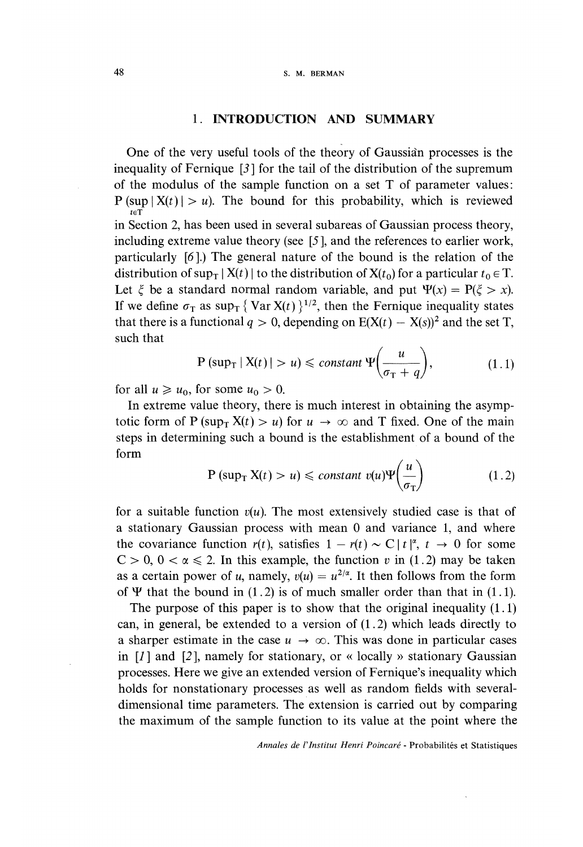#### 1. INTRODUCTION AND SUMMARY

One of the very useful tools of the theory of Gaussian processes is the inequality of Fernique [3] for the tail of the distribution of the supremum of the modulus of the sample function on a set T of parameter values:  $P \left( \sup_{t \in \mathcal{T}} |X(t)| > u \right)$ . The bound for this probability, which is reviewed in Section 2, has been used in several subareas of Gaussian process theory, including extreme value theory (see [5 ], and the references to earlier work, particularly [6 ].) The general nature of the bound is the relation of the distribution of sup<sub>T</sub>  $|X(t)|$  to the distribution of  $X(t_0)$  for a particular  $t_0 \in T$ . Let  $\xi$  be a standard normal random variable, and put  $\Psi(x) = P(\xi > x)$ . If we define  $\sigma_{\rm T}$  as sup<sub>T</sub> { Var X(t) }<sup>1/2</sup>, then the Fernique inequality states that there is a functional  $q > 0$ , depending on  $E(X(t) - X(s))^2$  and the set T, such that

$$
P\left(\sup_{T} |X(t)| > u\right) \leq \text{constant } \Psi\left(\frac{u}{\sigma_{T} + q}\right),\tag{1.1}
$$

for all  $u \geq u_0$ , for some  $u_0 > 0$ .

In extreme value theory, there is much interest in obtaining the asymptotic form of P (sup<sub>T</sub>  $X(t) > u$ ) for  $u \to \infty$  and T fixed. One of the main steps in determining such a bound is the establishment of a bound of the form

$$
P\left(\sup_{T} X(t) > u\right) \leq \text{constant } v(u)\Psi\left(\frac{u}{\sigma_{T}}\right) \tag{1.2}
$$

for a suitable function  $v(u)$ . The most extensively studied case is that of a stationary Gaussian process with mean 0 and variance 1, and where the covariance function  $r(t)$ , satisfies  $1 - r(t) \sim C |t|^{\alpha}$ ,  $t \to 0$  for some  $C > 0$ ,  $0 < \alpha \le 2$ . In this example, the function v in (1.2) may be taken as a certain power of u, namely,  $v(u) = u^{2/\alpha}$ . It then follows from the form of  $\Psi$  that the bound in (1.2) is of much smaller order than that in (1.1).

The purpose of this paper is to show that the original inequality  $(1.1)$ can, in general, be extended to a version of (1.2) which leads directly to a sharper estimate in the case  $u \to \infty$ . This was done in particular cases in  $[I]$  and  $[2]$ , namely for stationary, or « locally » stationary Gaussian processes. Here we give an extended version of Fernique's inequality which holds for nonstationary processes as well as random fields with severaldimensional time parameters. The extension is carried out by comparing the maximum of the sample function to its value at the point where the

Annales de l'Institut Henri Poincaré - Probabilités et Statistiques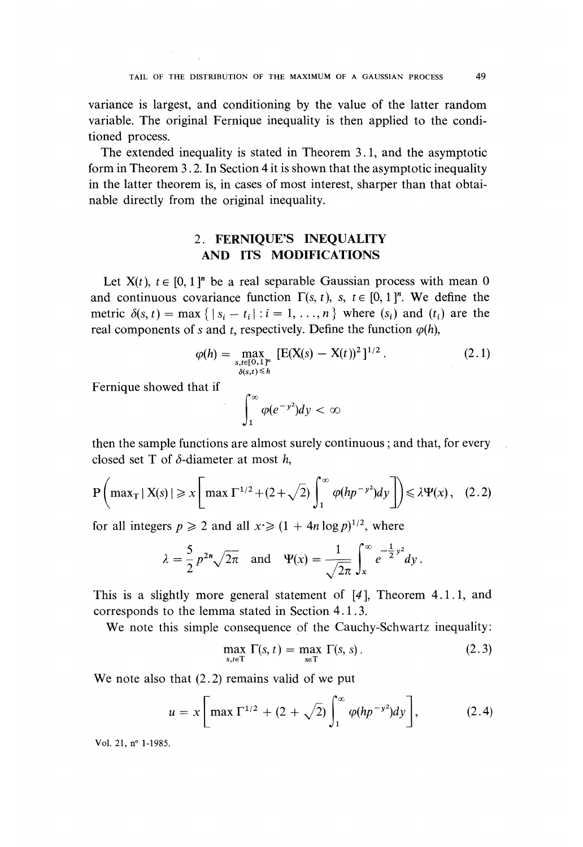variance is largest, and conditioning by the value of the latter random variable. The original Fernique inequality is then applied to the conditioned process.

The extended inequality is stated in Theorem 3.1, and the asymptotic form in Theorem 3 . 2. In Section 4 it is shown that the asymptotic inequality in the latter theorem is, in cases of most interest, sharper than that obtainable directly from the original inequality.

### 2. FERNIQUE'S INEQUALITY AND ITS MODIFICATIONS

Let  $X(t)$ ,  $t \in [0,1]^n$  be a real separable Gaussian process with mean 0 and continuous covariance function  $\Gamma(s, t)$ , s,  $t \in [0, 1]^n$ . We define the metric  $\delta(s, t) = \max \{ |s_i - t_i| : i = 1, \ldots, n \}$  where  $(s_i)$  and  $(t_i)$  are the real components of s and t, respectively. Define the function  $\varphi(h)$ ,

$$
\varphi(h) = \max_{\substack{s, t \in [0, 1]^n \\ \delta(s, t) \le h}} \left[ E(X(s) - X(t))^2 \right]^{1/2} . \tag{2.1}
$$

Fernique showed that if

 $\int_{1}^{\infty} \varphi(e^{-y^2}) dy < \infty$ 

then the sample functions are almost surely continuous ; and that, for every closed set T of  $\delta$ -diameter at most h,

$$
P\left(\max_{T} |X(s)| \geq x \left[\max_{T} \Gamma^{1/2} + (2+\sqrt{2}) \int_{1}^{\infty} \varphi(hp^{-\nu^{2}}) dy\right]\right) \leq \lambda \Psi(x), \quad (2.2)
$$

for all integers  $p \ge 2$  and all  $x \ge (1 + 4n \log p)^{1/2}$ , where

$$
\lambda = \frac{5}{2} p^{2n} \sqrt{2\pi} \quad \text{and} \quad \Psi(x) = \frac{1}{\sqrt{2\pi}} \int_x^{\infty} e^{-\frac{1}{2}y^2} dy.
$$

This is a slightly more general statement of [4 ], Theorem 4.1.1, and corresponds to the lemma stated in Section 4.1.3.

We note this simple consequence of the Cauchy-Schwartz inequality:

$$
\max_{s,t \in \mathcal{T}} \Gamma(s,t) = \max_{s \in \mathcal{T}} \Gamma(s,s). \tag{2.3}
$$

We note also that  $(2.2)$  remains valid of we put

$$
u = x \left[ \max \Gamma^{1/2} + (2 + \sqrt{2}) \int_1^\infty \varphi(hp^{-y^2}) dy \right], \tag{2.4}
$$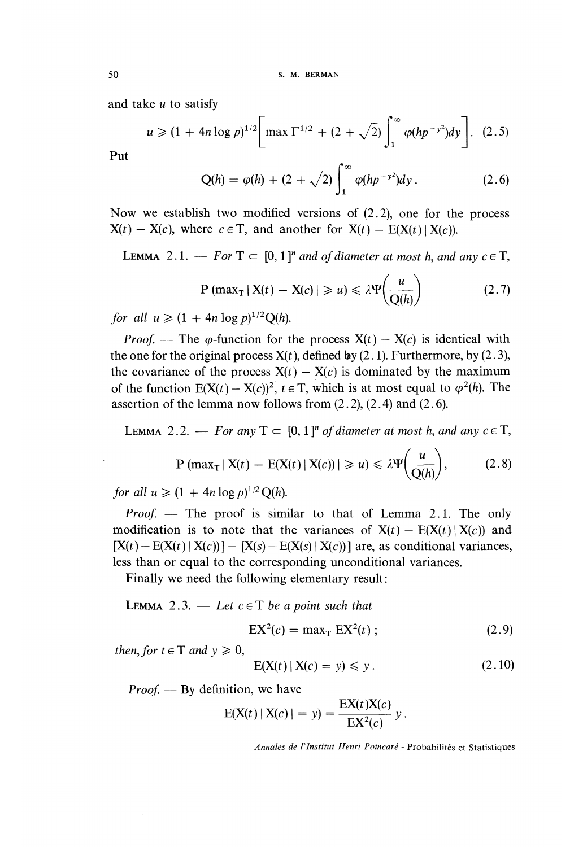and take u to satisfy

$$
u \geq (1 + 4n \log p)^{1/2} \left[ \max \Gamma^{1/2} + (2 + \sqrt{2}) \int_1^{\infty} \varphi(hp^{-y^2}) dy \right]. \tag{2.5}
$$

Put

$$
Q(h) = \varphi(h) + (2 + \sqrt{2}) \int_1^\infty \varphi(hp^{-y^2}) dy.
$$
 (2.6)

Now we establish two modified versions of (2.2), one for the process  $X(t) - X(c)$ , where  $c \in T$ , and another for  $X(t) - E(X(t) | X(c))$ .

**LEMMA** 2.1. — For  $T \subset [0,1]^n$  and of diameter at most h, and any  $c \in T$ ,

$$
P\left(\max_{T} |X(t) - X(c)| \geq u\right) \leq \lambda \Psi\left(\frac{u}{Q(h)}\right) \tag{2.7}
$$

for all  $u \ge (1 + 4n \log p)^{1/2} O(h)$ .

*Proof.* — The  $\varphi$ -function for the process  $X(t) - X(c)$  is identical with the one for the original process  $X(t)$ , defined by (2.1). Furthermore, by (2.3), the covariance of the process  $X(t) - X(c)$  is dominated by the maximum of the function  $E(X(t) - X(c))^2$ ,  $t \in T$ , which is at most equal to  $\varphi^2(h)$ . The assertion of the lemma now follows from  $(2.2)$ ,  $(2.4)$  and  $(2.6)$ .

LEMMA 2.2. - For any  $T \subset [0,1]^n$  of diameter at most h, and any  $c \in T$ ,

$$
P\left(\max_{T} |X(t) - E(X(t) | X(c))| \geq u\right) \leq \lambda \Psi\left(\frac{u}{Q(h)}\right),\tag{2.8}
$$

for all  $u \ge (1 + 4n \log p)^{1/2} Q(h)$ .

*Proof.* — The proof is similar to that of Lemma 2.1. The only modification is to note that the variances of  $X(t) - E(X(t) | X(c))$  and  $[X(t) - E(X(t) | X(c))] - [X(s) - E(X(s) | X(c))]$  are, as conditional variances, less than or equal to the corresponding unconditional variances.

Finally we need the following elementary result:

LEMMA 2.3.  $-$  Let  $c \in T$  be a point such that

 $EX^{2}(c) = max_{T} EX^{2}(t)$ ;  $(2.9)$ 

then, for  $t \in T$  and  $v \ge 0$ ,

$$
E(X(t) | X(c) = y) \leq y. \tag{2.10}
$$

*Proof.* — By definition, we have

$$
E(X(t) | X(c) | = y) = \frac{EX(t)X(c)}{EX^{2}(c)} y
$$

Annales de l'Institut Henri Poincaré - Probabilités et Statistiques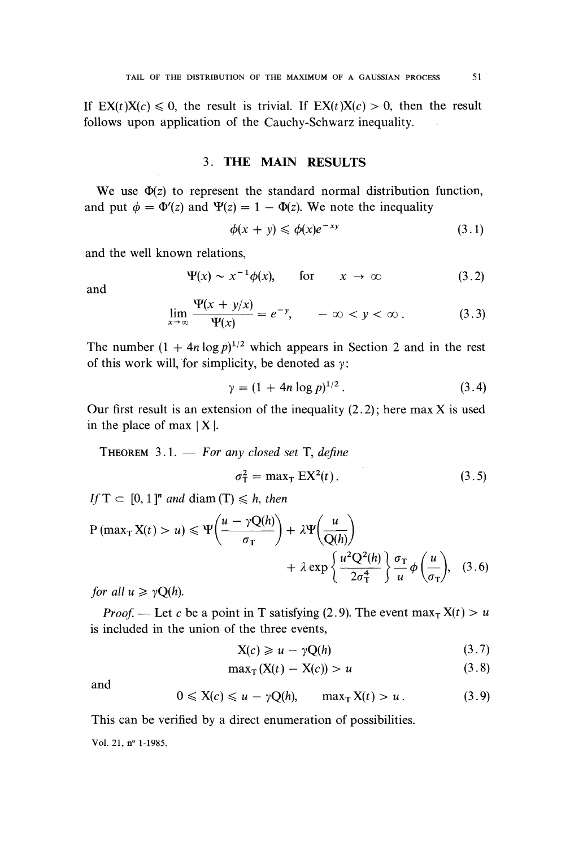If  $EX(t)X(c) \leq 0$ , the result is trivial. If  $EX(t)X(c) > 0$ , then the result follows upon application of the Cauchy-Schwarz inequality.

#### 3. THE MAIN RESULTS

We use  $\Phi(z)$  to represent the standard normal distribution function, and put  $\phi = \Phi'(z)$  and  $\Psi(z) = 1 - \Phi(z)$ . We note the inequality

$$
\phi(x+y) \leqslant \phi(x)e^{-xy} \tag{3.1}
$$

and the well known relations,

$$
\Psi(x) \sim x^{-1} \phi(x), \qquad \text{for} \qquad x \to \infty \tag{3.2}
$$

and

$$
\lim_{x \to \infty} \frac{\Psi(x + y/x)}{\Psi(x)} = e^{-y}, \qquad -\infty < y < \infty. \tag{3.3}
$$

The number  $(1 + 4n \log p)^{1/2}$  which appears in Section 2 and in the rest of this work will, for simplicity, be denoted as  $\gamma$ :

$$
\gamma = (1 + 4n \log p)^{1/2} \,. \tag{3.4}
$$

Our first result is an extension of the inequality  $(2.2)$ ; here max X is used in the place of max  $|X|$ .

THEOREM  $3.1.$  - For any closed set T, define

$$
\sigma_{\rm T}^2 = \max_{\rm T} \mathbf{E} \mathbf{X}^2(t) \,. \tag{3.5}
$$

If  $T \subset [0,1]^n$  and diam  $(T) \leq h$ , then

$$
P \left( \max_{T} X(t) > u \right) \leq \Psi \left( \frac{u - \gamma Q(h)}{\sigma_{T}} \right) + \lambda \Psi \left( \frac{u}{Q(h)} \right) + \lambda \exp \left\{ \frac{u^{2} Q^{2}(h)}{2 \sigma_{T}^{4}} \right\} \frac{\sigma_{T}}{u} \phi \left( \frac{u}{\sigma_{T}} \right), \quad (3.6)
$$

for all  $u \ge \gamma Q(h)$ .

*Proof.* — Let c be a point in T satisfying (2.9). The event  $\max_{\tau} X(t) > u$ is included in the union of the three events,

$$
X(c) \geq u - \gamma Q(h) \tag{3.7}
$$

$$
\max_{\mathbf{T}} (\mathbf{X}(t) - \mathbf{X}(c)) > u \tag{3.8}
$$

and

$$
0 \leqslant X(c) \leqslant u - \gamma Q(h), \qquad \max_{T} X(t) > u. \tag{3.9}
$$

This can be verified by a direct enumeration of possibilities. Vol. 21, n° 1-1985.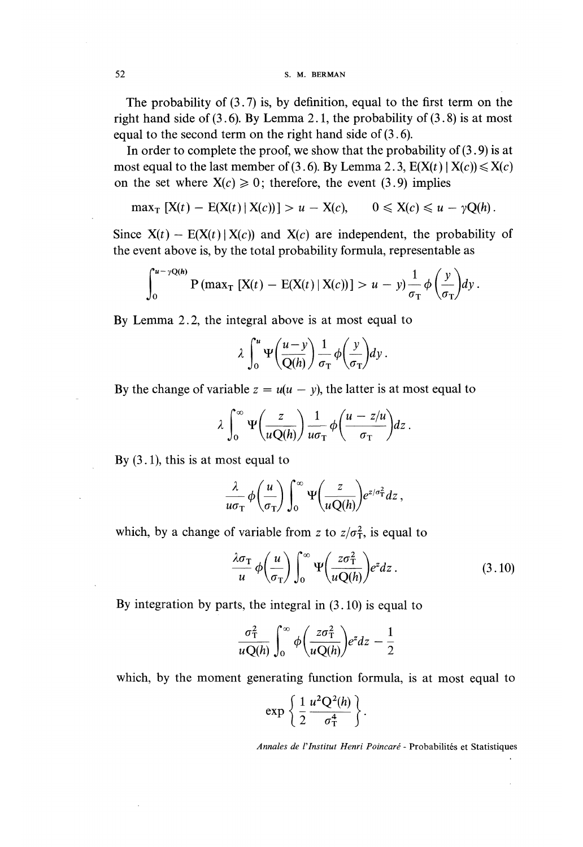52 S. M. BERMAN

The probability of (3.7) is, by definition, equal to the first term on the right hand side of  $(3.6)$ . By Lemma 2.1, the probability of  $(3.8)$  is at most equal to the second term on the right hand side of  $(3.6)$ .

In order to complete the proof, we show that the probability of  $(3.9)$  is at most equal to the last member of (3.6). By Lemma 2.3,  $E(X(t) | X(c)) \le X(c)$ on the set where  $X(c) \ge 0$ ; therefore, the event (3.9) implies

$$
\max_{\mathrm{T}} \left[ \mathrm{X}(t) - \mathrm{E}(\mathrm{X}(t) \,|\, \mathrm{X}(c)) \right] > u - \mathrm{X}(c), \qquad 0 \leqslant \mathrm{X}(c) \leqslant u - \gamma \mathrm{Q}(h).
$$

Since  $X(t) - E(X(t) | X(c))$  and  $X(c)$  are independent, the probability of the event above is, by the total probability formula, representable as

$$
\int_0^{u-\gamma Q(h)} \mathbf{P}(\max_{\mathbf{T}} [X(t) - \mathbf{E}(X(t) | X(c))] > u - y) \frac{1}{\sigma_{\mathbf{T}}} \phi\left(\frac{y}{\sigma_{\mathbf{T}}} \right) dy.
$$

By Lemma 2.2, the integral above is at most equal to

$$
\lambda \int_0^u \Psi\left(\frac{u-y}{Q(h)}\right) \frac{1}{\sigma_T} \phi\left(\frac{y}{\sigma_T}\right) dy.
$$

By the change of variable  $z = u(u - y)$ , the latter is at most equal to

$$
\lambda \int_0^\infty \Psi\bigg(\frac{z}{uQ(h)}\bigg)\frac{1}{u\sigma_T}\phi\bigg(\frac{u-z/u}{\sigma_T}\bigg)dz.
$$

By  $(3.1)$ , this is at most equal to

$$
\frac{\lambda}{u\sigma_{\rm T}}\phi\bigg(\frac{u}{\sigma_{\rm T}}\bigg)\int_0^\infty \Psi\bigg(\frac{z}{u{\rm Q}(h)}\bigg)e^{z/\sigma_{\rm T}^2}dz\,,
$$

which, by a change of variable from z to  $z/\sigma_T^2$ , is equal to

$$
\frac{\lambda \sigma_{\rm T}}{u} \phi\left(\frac{u}{\sigma_{\rm T}}\right) \int_0^\infty \Psi\left(\frac{z \sigma_{\rm T}^2}{u \, Q(h)}\right) e^z dz \,. \tag{3.10}
$$

By integration by parts, the integral in (3.10) is equal to

$$
\frac{\sigma_{\rm T}^2}{uQ(h)}\int_0^\infty \phi\bigg(\frac{z\sigma_{\rm T}^2}{uQ(h)}\bigg)e^z dz-\frac{1}{2}
$$

which, by the moment generating function formula, is at most equal to

$$
\exp\left\{\frac{1}{2}\frac{u^2Q^2(h)}{\sigma_T^4}\right\}.
$$

Annales de l'Institut Henri Poincaré - Probabilités et Statistiques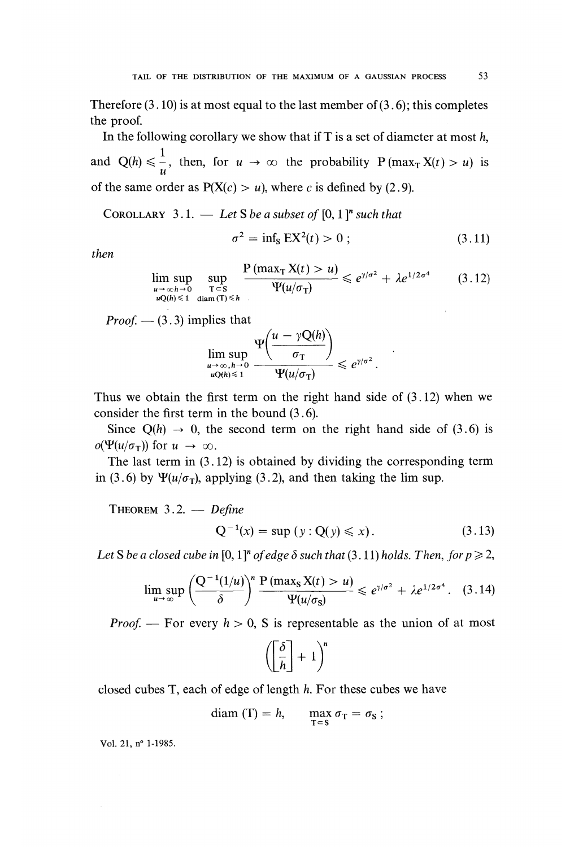Therefore  $(3.10)$  is at most equal to the last member of  $(3.6)$ ; this completes the proof.

In the following corollary we show that if  $T$  is a set of diameter at most  $h$ , and  $Q(h) \le \frac{1}{u}$ , then, for  $u \to \infty$  the probability  $P(\max_{T} X(t) > u)$  is of the same order as  $P(X(c) > u)$ , where c is defined by (2.9).

COROLLARY 3.1.  $-$  Let S be a subset of [0, 1]<sup>n</sup> such that

$$
\sigma^2 = \inf_{\mathbf{S}} \mathbf{E} \mathbf{X}^2(t) > 0 \tag{3.11}
$$

then

$$
\limsup_{\substack{u \to \infty, h \to 0 \\ uQ(h) \leq 1}} \sup_{\substack{T \subset S \\ \text{diam}(T) \leq h}} \frac{P(\max_{T} X(t) > u)}{\Psi(u/\sigma_{T})} \leq e^{\gamma/\sigma^2} + \lambda e^{1/2\sigma^4} \qquad (3.12)
$$

*Proof.*  $- (3.3)$  implies that

$$
\limsup_{\substack{u\to\infty, h\to 0 \\ uQ(h)\leq 1}} \frac{\Psi\left(\frac{u-\gamma Q(h)}{\sigma_{\rm T}}\right)}{\Psi(u/\sigma_{\rm T})} \leqslant e^{\gamma/\sigma^2}.
$$

Thus we obtain the first term on the right hand side of  $(3.12)$  when we consider the first term in the bound (3.6).

Since  $Q(h) \rightarrow 0$ , the second term on the right hand side of (3.6) is  $o(\Psi(u/\sigma_{\rm T}))$  for  $u \to \infty$ .

The last term in  $(3.12)$  is obtained by dividing the corresponding term in (3.6) by  $\Psi(u/\sigma_T)$ , applying (3.2), and then taking the lim sup.

THEOREM  $3.2.$  - Define

$$
Q^{-1}(x) = \sup (y : Q(y) \leq x).
$$
 (3.13)

Let S be a closed cube in [0, 1]<sup>n</sup> of edge  $\delta$  such that (3, 11) holds. Then, for  $p \ge 2$ ,

$$
\limsup_{u\to\infty}\left(\frac{Q^{-1}(1/u)}{\delta}\right)^n\frac{P\left(\max_S X(t) > u\right)}{\Psi(u/\sigma_S)} \leq e^{\gamma/\sigma^2} + \lambda e^{1/2\sigma^4}.
$$
 (3.14)

*Proof.* — For every  $h > 0$ , S is representable as the union of at most

$$
\left(\left[\frac{\delta}{h}\right]+1\right)^n
$$

closed cubes T, each of edge of length h. For these cubes we have

$$
diam(T) = h, \quad \max_{T \subset S} \sigma_T = \sigma_S ;
$$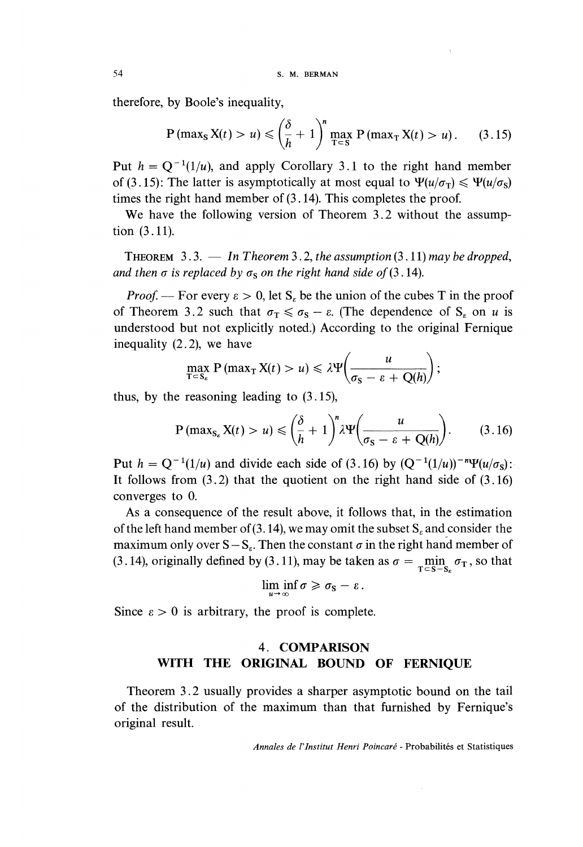therefore, by Boole's inequality,

$$
P \left( \max_{S} X(t) > u \right) \leqslant \left( \frac{\delta}{h} + 1 \right)^n \max_{T \subset S} P \left( \max_{T} X(t) > u \right). \tag{3.15}
$$

Put  $h = Q^{-1}(1/u)$ , and apply Corollary 3.1 to the right hand member of (3.15): The latter is asymptotically at most equal to  $\Psi(u/\sigma_{\rm r}) \leq \Psi(u/\sigma_{\rm s})$ times the right hand member of (3.14). This completes the proof.

We have the following version of Theorem 3.2 without the assumption  $(3.11)$ .

**THEOREM** 3.3.  $\qquad \qquad In Theorem 3.2, the assumption (3.11) may be dropped,$ and then  $\sigma$  is replaced by  $\sigma_{\rm s}$  on the right hand side of (3.14).

*Proof.* — For every  $\varepsilon > 0$ , let  $S_{\varepsilon}$  be the union of the cubes T in the proof of Theorem 3.2 such that  $\sigma_{\rm T} \le \sigma_{\rm s} - \varepsilon$ . (The dependence of  $S_{\varepsilon}$  on u is understood but not explicitly noted.) According to the original Fernique inequality (2.2), we have

$$
\max_{\mathbf{T}\subseteq\mathbf{S}_{\varepsilon}}\mathbf{P}(\max_{\mathbf{T}}\mathbf{X}(t)>u)\leqslant\lambda\Psi\bigg(\frac{u}{\sigma_{\mathbf{S}}-\varepsilon+\mathbf{Q}(h)}\bigg);
$$

thus, by the reasoning leading to (3.15),

$$
P \left( \max_{S_{\varepsilon}} X(t) > u \right) \leqslant \left( \frac{\delta}{h} + 1 \right)^n \lambda \Psi \left( \frac{u}{\sigma_S - \varepsilon + Q(h)} \right). \tag{3.16}
$$

Put  $h = Q^{-1}(1/u)$  and divide each side of (3.16) by  $(Q^{-1}(1/u))^{-n}\Psi(u/\sigma_S)$ : It follows from  $(3.2)$  that the quotient on the right hand side of  $(3.16)$ converges to 0.

As a consequence of the result above, it follows that, in the estimation of the left hand member of (3.14), we may omit the subset  $S<sub>s</sub>$  and consider the maximum only over  $S - S_{\epsilon}$ . Then the constant  $\sigma$  in the right hand member of (3.14), originally defined by (3.11), may be taken as  $\sigma = \min_{\tau \in S_{\text{max}}} \sigma_{\text{T}}$ , so that

$$
\liminf_{\kappa \to \infty} \sigma \geq \sigma_{\rm S} - \varepsilon \, .
$$

Since  $\varepsilon > 0$  is arbitrary, the proof is complete.

### 4. COMPARISON WITH THE ORIGINAL BOUND OF FERNIQUE

Theorem 3.2 usually provides a sharper asymptotic bound on the tail of the distribution of the maximum than that furnished by Fernique's original result.

Annales de l'lnstitut Henri Poincaré - Probabilités et Statistiques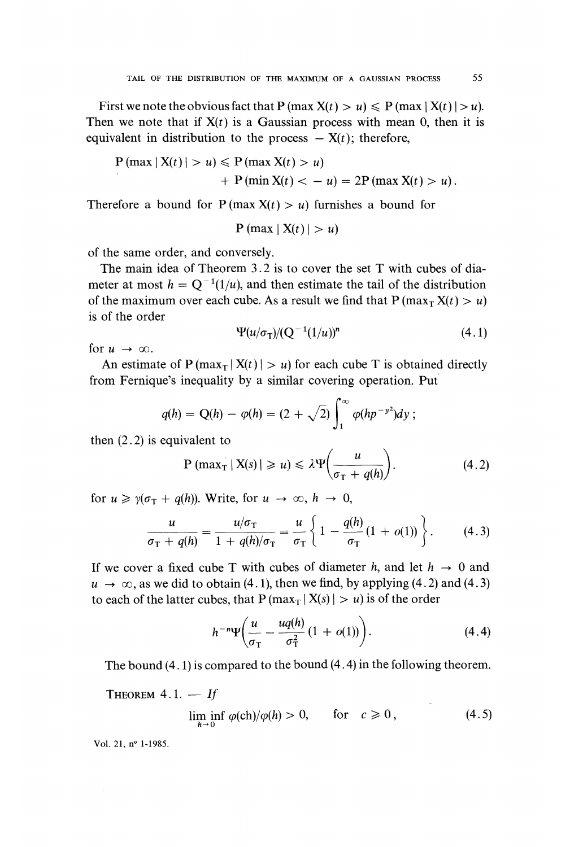First we note the obvious fact that  $P(\max X(t) > u) \leq P(\max |X(t)| > u)$ . Then we note that if  $X(t)$  is a Gaussian process with mean 0, then it is equivalent in distribution to the process  $- X(t)$ ; therefore,

$$
P(max | X(t) | > u) \leq P(max X(t) > u)
$$
\n
$$
+ P(min X(t) < -u) = 2P(max X(t) > u).
$$

Therefore a bound for  $P(max X(t) > u)$  furnishes a bound for

$$
P \left( \max | X(t) | > u \right)
$$

of the same order, and conversely.

The main idea of Theorem 3.2 is to cover the set T with cubes of diameter at most  $h = Q^{-1}(1/u)$ , and then estimate the tail of the distribution of the maximum over each cube. As a result we find that  $P(max_T X(t) > u)$ is of the order

$$
\Psi(u/\sigma_{\rm T})/(\mathrm{Q}^{-1}(1/u))^n\tag{4.1}
$$

for  $u \rightarrow \infty$ .

An estimate of  $P(\max_T | X(t)| > u)$  for each cube T is obtained directly from Fernique's inequality by a similar covering operation. Put

$$
q(h) = Q(h) - \varphi(h) = (2 + \sqrt{2}) \int_1^{\infty} \varphi(hp^{-\nu^2}) dy ;
$$

then  $(2.2)$  is equivalent to

$$
P \left( \max_{T} |X(s)| \geq u \right) \leq \lambda \Psi \left( \frac{u}{\sigma_T + q(h)} \right). \tag{4.2}
$$

for  $u \ge \gamma(\sigma_{\rm T} + q(h))$ . Write, for  $u \to \infty$ ,  $h \to 0$ ,

$$
\frac{u}{\sigma_{\rm T} + q(h)} = \frac{u/\sigma_{\rm T}}{1 + q(h)/\sigma_{\rm T}} = \frac{u}{\sigma_{\rm T}} \left\{ 1 - \frac{q(h)}{\sigma_{\rm T}} (1 + o(1)) \right\}.
$$
 (4.3)

If we cover a fixed cube T with cubes of diameter h, and let  $h \rightarrow 0$  and  $u \rightarrow \infty$ , as we did to obtain (4.1), then we find, by applying (4.2) and (4.3) to each of the latter cubes, that  $P(max_T | X(s) | > u)$  is of the order

$$
h^{-n}\Psi\bigg(\frac{u}{\sigma_{\rm T}}-\frac{uq(h)}{\sigma_{\rm T}^2}(1+o(1))\bigg). \hspace{1.5cm} (4.4)
$$

The bound (4.1) is compared to the bound (4. 4) in the following theorem.

THEOREM  $4.1. - If$ 

$$
\liminf_{h \to 0} \varphi(\text{ch})/\varphi(h) > 0, \qquad \text{for} \quad c \geqslant 0 \,, \tag{4.5}
$$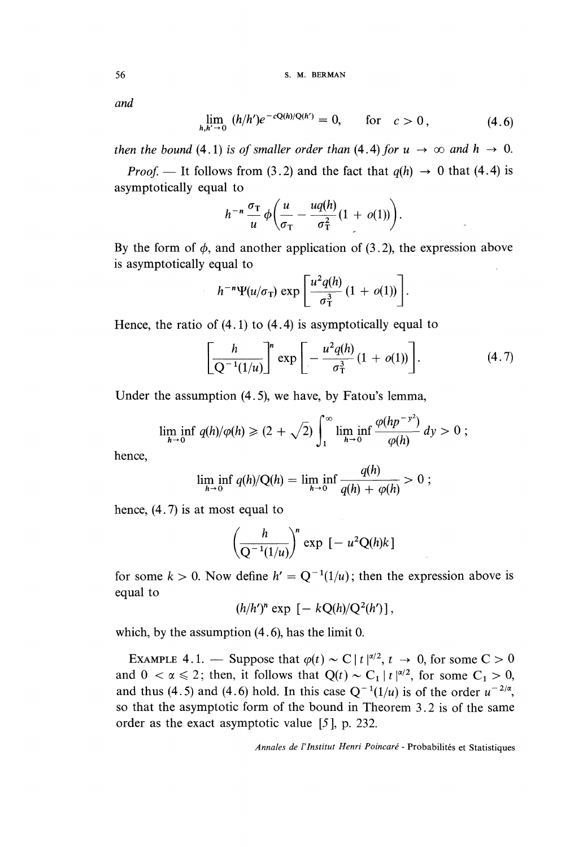56 S. M. BERMAN

and

$$
\lim_{h,h'\to 0} (h/h')e^{-cQ(h)/Q(h')} = 0, \quad \text{for} \quad c > 0, \tag{4.6}
$$

then the bound (4.1) is of smaller order than (4.4) for  $u \to \infty$  and  $h \to 0$ .

*Proof.* — It follows from (3.2) and the fact that  $q(h) \rightarrow 0$  that (4.4) is asymptotically equal to

$$
h^{-n}\frac{\sigma_{\rm T}}{u}\phi\bigg(\frac{u}{\sigma_{\rm T}}-\frac{uq(h)}{\sigma_{\rm T}^2}(1+o(1))\bigg).
$$

By the form of  $\phi$ , and another application of (3.2), the expression above is asymptotically equal to

$$
h^{-n}\Psi(u/\sigma_{\rm T})\exp\left[\frac{u^2q(h)}{\sigma_{\rm T}^3}(1+o(1))\right].
$$

Hence, the ratio of  $(4.1)$  to  $(4.4)$  is asymptotically equal to

$$
\left[\frac{h}{Q^{-1}(1/u)}\right]^n \exp\left[-\frac{u^2q(h)}{\sigma_{\rm T}^3}(1+o(1))\right]. \tag{4.7}
$$

Under the assumption (4. 5), we have, by Fatou's lemma,

$$
\liminf_{h\to 0} q(h)/\varphi(h) \geqslant (2+\sqrt{2}) \int_1^\infty \liminf_{h\to 0} \frac{\varphi(hp^{-y^2})}{\varphi(h)} dy > 0 ;
$$

hence,

$$
\liminf_{h \to 0} q(h)/Q(h) = \liminf_{h \to 0} \frac{q(h)}{q(h) + \varphi(h)} > 0 ;
$$

hence, (4. 7) is at most equal to

$$
\left(\frac{h}{Q^{-1}(1/u)}\right)^n \exp\left[-u^2Q(h)k\right]
$$

for some  $k > 0$ . Now define  $h' = Q^{-1}(1/u)$ ; then the expression above is equal to

$$
(h/h')^n \exp \left[-kQ(h)/Q^2(h')\right],
$$

which, by the assumption  $(4.6)$ , has the limit 0.

EXAMPLE 4.1. — Suppose that  $\varphi(t) \sim C |t|^{\alpha/2}$ ,  $t \to 0$ , for some  $C > 0$ and  $0 < \alpha \leq 2$ ; then, it follows that  $Q(t) \sim C_1 |t|^{\alpha/2}$ , for some  $C_1 > 0$ , and thus (4.5) and (4.6) hold. In this case  $Q^{-1}(1/u)$  is of the order  $u^{-2/\alpha}$ , so that the asymptotic form of the bound in Theorem 3.2 is of the same order as the exact asymptotic value [5 ], p. 232.

Annales de l'lnstitut Henri Poincaré - Probabilités et Statistiques